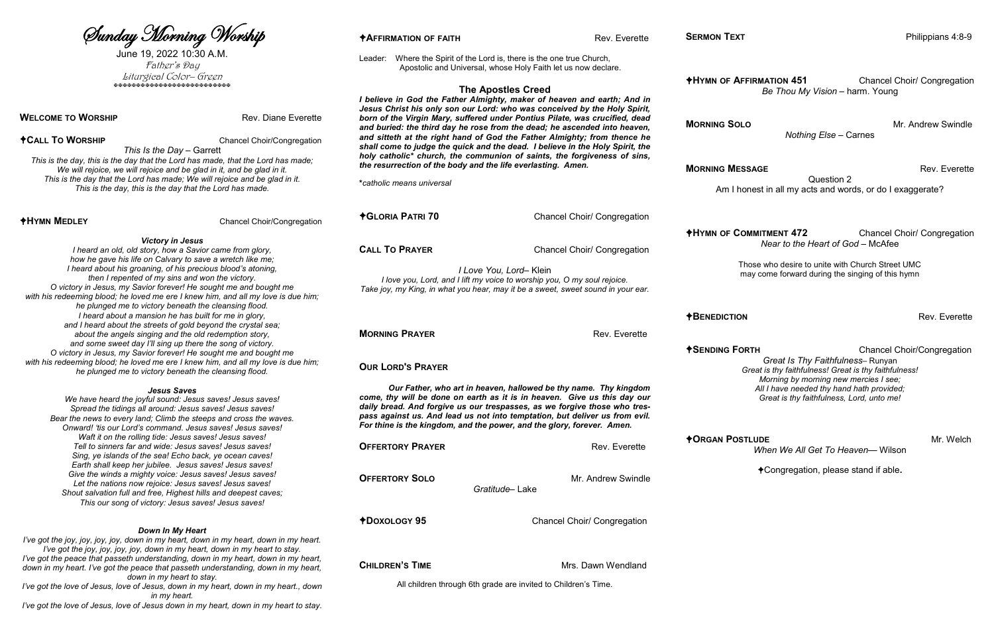| <b>Sunday Morning Worship</b><br>June 19, 2022 10:30 A.M.<br>Father's Day<br>Liturgical Color– Green<br><b>AAAAAAAAAAAAAAAAAAAAAAAAAAAA</b>                                                                                                                                                                                                                                                                                                                       |                                   | <b><i><del>†AFFIRMATION OF FAITH</del></i></b>                                                                                                                                                                                                                                                                                                                                     | Rev. Everette                        | <b>SERMON TI</b>               |
|-------------------------------------------------------------------------------------------------------------------------------------------------------------------------------------------------------------------------------------------------------------------------------------------------------------------------------------------------------------------------------------------------------------------------------------------------------------------|-----------------------------------|------------------------------------------------------------------------------------------------------------------------------------------------------------------------------------------------------------------------------------------------------------------------------------------------------------------------------------------------------------------------------------|--------------------------------------|--------------------------------|
|                                                                                                                                                                                                                                                                                                                                                                                                                                                                   |                                   | Leader: Where the Spirit of the Lord is, there is the one true Church,<br>Apostolic and Universal, whose Holy Faith let us now declare.<br><b>The Apostles Creed</b><br>I believe in God the Father Almighty, maker of heaven and earth; And in                                                                                                                                    |                                      | <b><i><u>NHYMN</u></i></b> OF  |
|                                                                                                                                                                                                                                                                                                                                                                                                                                                                   |                                   |                                                                                                                                                                                                                                                                                                                                                                                    |                                      |                                |
| <b><i><b>OCALL TO WORSHIP</b></i></b><br><b>Chancel Choir/Congregation</b><br>This Is the Day - Garrett<br>This is the day, this is the day that the Lord has made, that the Lord has made;<br>We will rejoice, we will rejoice and be glad in it, and be glad in it.<br>This is the day that the Lord has made; We will rejoice and be glad in it.<br>This is the day, this is the day that the Lord has made.                                                   |                                   | shall come to judge the quick and the dead. I believe in the Holy Spirit, the<br>holy catholic* church, the communion of saints, the forgiveness of sins,<br>the resurrection of the body and the life everlasting. Amen.<br>*catholic means universal                                                                                                                             |                                      |                                |
|                                                                                                                                                                                                                                                                                                                                                                                                                                                                   |                                   |                                                                                                                                                                                                                                                                                                                                                                                    |                                      | <b>MORNING N</b><br>Am         |
| <b><i><u>*HYMN</u></i></b> MEDLEY                                                                                                                                                                                                                                                                                                                                                                                                                                 | <b>Chancel Choir/Congregation</b> | <b><i><u>†GLORIA PATRI 70</u></i></b>                                                                                                                                                                                                                                                                                                                                              | <b>Chancel Choir/ Congregation</b>   |                                |
| <b>Victory in Jesus</b>                                                                                                                                                                                                                                                                                                                                                                                                                                           |                                   |                                                                                                                                                                                                                                                                                                                                                                                    |                                      | <b><i><u>NHYMN</u></i></b> OF  |
| I heard an old, old story, how a Savior came from glory,<br>how he gave his life on Calvary to save a wretch like me;                                                                                                                                                                                                                                                                                                                                             |                                   | <b>CALL TO PRAYER</b>                                                                                                                                                                                                                                                                                                                                                              | <b>Chancel Choir/ Congregation</b>   |                                |
| I heard about his groaning, of his precious blood's atoning,<br>then I repented of my sins and won the victory.<br>O victory in Jesus, my Savior forever! He sought me and bought me<br>with his redeeming blood; he loved me ere I knew him, and all my love is due him;<br>he plunged me to victory beneath the cleansing flood.                                                                                                                                |                                   | I Love You, Lord-Klein<br>I love you, Lord, and I lift my voice to worship you, O my soul rejoice.<br>Take joy, my King, in what you hear, may it be a sweet, sweet sound in your ear.                                                                                                                                                                                             |                                      |                                |
| I heard about a mansion he has built for me in glory,<br>and I heard about the streets of gold beyond the crystal sea;<br>about the angels singing and the old redemption story,<br>and some sweet day I'll sing up there the song of victory.<br>O victory in Jesus, my Savior forever! He sought me and bought me<br>with his redeeming blood; he loved me ere I knew him, and all my love is due him;<br>he plunged me to victory beneath the cleansing flood. |                                   | <b>MORNING PRAYER</b>                                                                                                                                                                                                                                                                                                                                                              | Rev. Everette                        | <b><i><u>NBENEDICT</u></i></b> |
|                                                                                                                                                                                                                                                                                                                                                                                                                                                                   |                                   | <b>OUR LORD'S PRAYER</b>                                                                                                                                                                                                                                                                                                                                                           |                                      | <b>†SENDING</b>                |
| <b>Jesus Saves</b><br>We have heard the joyful sound: Jesus saves! Jesus saves!<br>Spread the tidings all around: Jesus saves! Jesus saves!<br>Bear the news to every land; Climb the steeps and cross the waves.<br>Onward! 'tis our Lord's command. Jesus saves! Jesus saves!<br>Waft it on the rolling tide: Jesus saves! Jesus saves!                                                                                                                         |                                   | Our Father, who art in heaven, hallowed be thy name. Thy kingdom<br>come, thy will be done on earth as it is in heaven. Give us this day our<br>daily bread. And forgive us our trespasses, as we forgive those who tres-<br>pass against us. And lead us not into temptation, but deliver us from evil.<br>For thine is the kingdom, and the power, and the glory, forever. Amen. |                                      |                                |
| Tell to sinners far and wide: Jesus saves! Jesus saves!<br>Sing, ye islands of the sea! Echo back, ye ocean caves!<br>Earth shall keep her jubilee. Jesus saves! Jesus saves!                                                                                                                                                                                                                                                                                     |                                   | <b>OFFERTORY PRAYER</b>                                                                                                                                                                                                                                                                                                                                                            | Rev. Everette                        | <b><i><u>ORGANP</u></i></b>    |
| Give the winds a mighty voice: Jesus saves! Jesus saves!<br>Let the nations now rejoice: Jesus saves! Jesus saves!<br>Shout salvation full and free, Highest hills and deepest caves;<br>This our song of victory: Jesus saves! Jesus saves!                                                                                                                                                                                                                      |                                   | <b>OFFERTORY SOLO</b>                                                                                                                                                                                                                                                                                                                                                              | Mr. Andrew Swindle<br>Gratitude-Lake |                                |
|                                                                                                                                                                                                                                                                                                                                                                                                                                                                   |                                   | <b><i><u>*DOXOLOGY 95</u></i></b>                                                                                                                                                                                                                                                                                                                                                  | <b>Chancel Choir/ Congregation</b>   |                                |
| <b>Down In My Heart</b><br>I've got the joy, joy, joy, joy, down in my heart, down in my heart, down in my heart.<br>I've got the joy, joy, joy, joy, down in my heart, down in my heart to stay.                                                                                                                                                                                                                                                                 |                                   |                                                                                                                                                                                                                                                                                                                                                                                    |                                      |                                |
| I've got the peace that passeth understanding, down in my heart, down in my heart,<br>down in my heart. I've got the peace that passeth understanding, down in my heart,<br>down in my heart to stay.                                                                                                                                                                                                                                                             |                                   | <b>CHILDREN'S TIME</b>                                                                                                                                                                                                                                                                                                                                                             | Mrs. Dawn Wendland                   |                                |
| I've got the love of Jesus, love of Jesus, down in my heart, down in my heart., down<br>in my heart.                                                                                                                                                                                                                                                                                                                                                              |                                   | All children through 6th grade are invited to Children's Time.                                                                                                                                                                                                                                                                                                                     |                                      |                                |
| I've got the love of Jesus, love of Jesus down in my heart, down in my heart to stay.                                                                                                                                                                                                                                                                                                                                                                             |                                   |                                                                                                                                                                                                                                                                                                                                                                                    |                                      |                                |

**AFFIRMATION 451 Chancel Choir/ Congregation** *Be Thou My Vision –* harm. Young

**SOLO** Mr. Andrew Swindle

Question 2 I honest in all my acts and words, or do I exaggerate?

**COMMITMENT 472 Chancel Choir/ Congregation** *Near to the Heart of God –* McAfee

*Nothing Else –* Carnes

**MESSAGE** Rev. Everette

Those who desire to unite with Church Street UMC may come forward during the singing of this hymn

**BENEDICTION** 

**FORTH Chancel Choir/Congregation** 

*Great Is Thy Faithfulness–* Runyan *Great is thy faithfulness! Great is thy faithfulness! Morning by morning new mercies I see; All I have needed thy hand hath provided; Great is thy faithfulness, Lord, unto me!*

*When We All Get To Heaven—* Wilson

**POSTLUDE** *Mr. Welch* 

Congregation, please stand if able**.**